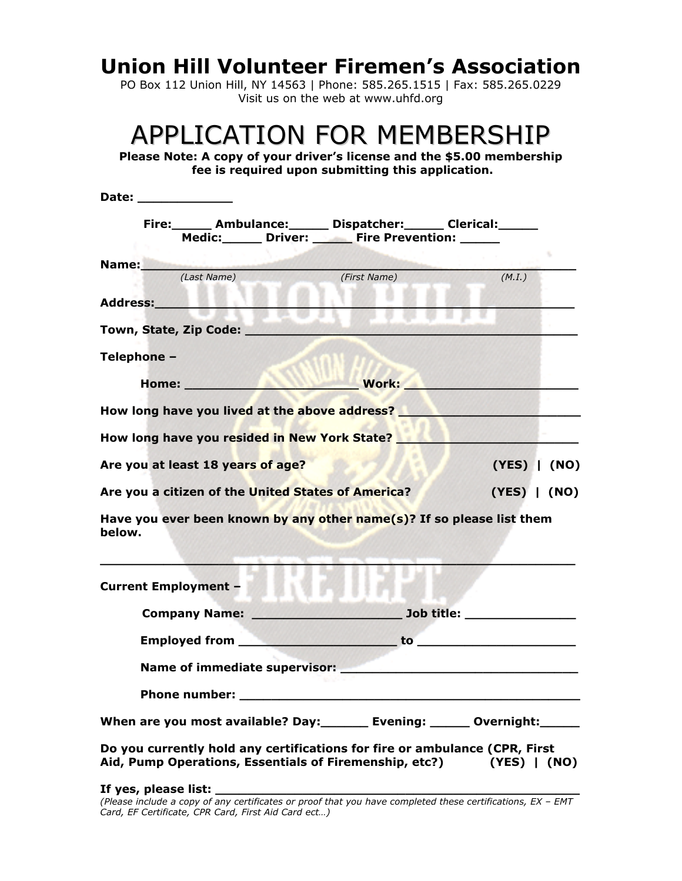## **Union Hill Volunteer Firemen's Association**

PO Box 112 Union Hill, NY 14563 | Phone: 585.265.1515 | Fax: 585.265.0229 Visit us on the web at www.uhfd.org

## APPLICATION FOR MEMBERSHIP

**Please Note: A copy of your driver's license and the \$5.00 membership fee is required upon submitting this application.** 

| Date: ______________        |                                                                                                                                                   |              |                  |
|-----------------------------|---------------------------------------------------------------------------------------------------------------------------------------------------|--------------|------------------|
|                             | Fire: ______ Ambulance: ______ Dispatcher: ______ Clerical: ______                                                                                |              |                  |
|                             | Medic: Driver: Fire Prevention: ____                                                                                                              |              | s.               |
| Name:                       | (Last Name)                                                                                                                                       | (First Name) | (M.I.)           |
|                             |                                                                                                                                                   |              |                  |
| Address:_________           |                                                                                                                                                   |              |                  |
|                             | Town, State, Zip Code:                                                                                                                            |              |                  |
| Telephone -                 |                                                                                                                                                   |              |                  |
|                             |                                                                                                                                                   | <b>Work:</b> |                  |
|                             | How long have you lived at the above address?                                                                                                     |              |                  |
|                             | How long have you resided in New York State?                                                                                                      |              |                  |
|                             | Are you at least 18 years of age?                                                                                                                 |              | (YES)   (NO)     |
|                             | Are you a citizen of the United States of America?                                                                                                |              | $(YES)$ $  (NO)$ |
| below.                      | Have you ever been known by any other name(s)? If so please list them                                                                             |              |                  |
| <b>Current Employment -</b> |                                                                                                                                                   |              |                  |
|                             | Company Name: Name: New York Dubb title:                                                                                                          |              |                  |
|                             |                                                                                                                                                   |              |                  |
|                             |                                                                                                                                                   |              |                  |
|                             |                                                                                                                                                   |              |                  |
|                             | When are you most available? Day:_________ Evening: _______ Overnight:_______                                                                     |              |                  |
|                             | Do you currently hold any certifications for fire or ambulance (CPR, First<br>Aid, Pump Operations, Essentials of Firemenship, etc?) (YES)   (NO) |              |                  |

**If yes, please list: \_\_\_\_\_\_\_\_\_\_\_\_\_\_\_\_\_\_\_\_\_\_\_\_\_\_\_\_\_\_\_\_\_\_\_\_\_\_\_\_\_\_\_\_\_\_** 

*(Please include a copy of any certificates or proof that you have completed these certifications, EX – EMT Card, EF Certificate, CPR Card, First Aid Card ect…)*